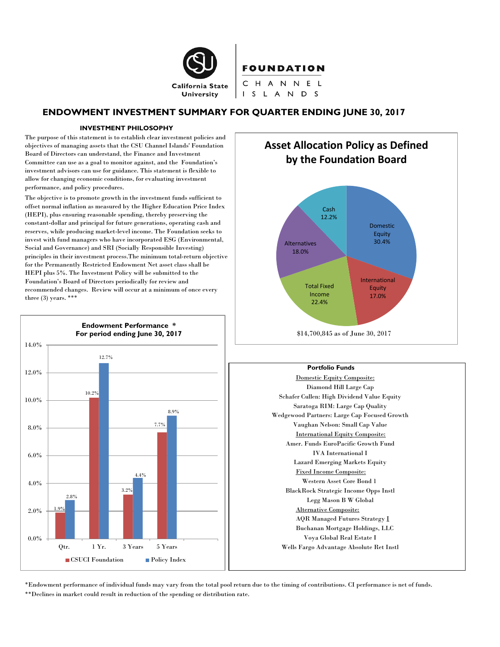

# FOUNDATION

CHANNEL I S L A N D S

# **ENDOWMENT INVESTMENT SUMMARY FOR QUARTER ENDING JUNE 30, 2017**

#### **INVESTMENT PHILOSOPHY**

The purpose of this statement is to establish clear investment policies and objectives of managing assets that the CSU Channel Islands' Foundation Board of Directors can understand, the Finance and Investment Committee can use as a goal to monitor against, and the Foundation's investment advisors can use for guidance. This statement is flexible to allow for changing economic conditions, for evaluating investment performance, and policy procedures.

The objective is to promote growth in the investment funds sufficient to offset normal inflation as measured by the Higher Education Price Index (HEPI), plus ensuring reasonable spending, thereby preserving the constant-dollar and principal for future generations, operating cash and reserves, while producing market-level income. The Foundation seeks to invest with fund managers who have incorporated ESG (Environmental, Social and Governance) and SRI (Socially Responsible Investing) principles in their investment process.The minimum total-return objective for the Permanently Restricted Endowment Net asset class shall be HEPI plus 5%. The Investment Policy will be submitted to the Foundation's Board of Directors periodically for review and recommended changes. Review will occur at a minimum of once every three  $(3)$  years. \*\*\*





\$14,700,845 as of June 30, 2017

#### **Portfolio Funds**

Domestic Equity Composite: Diamond Hill Large Cap Schafer Cullen: High Dividend Value Equity Saratoga RIM: Large Cap Quality Wedgewood Partners: Large Cap Focused Growth Vaughan Nelson: Small Cap Value International Equity Composite: Amer. Funds EuroPacific Growth Fund IVA International I Lazard Emerging Markets Equity Fixed Income Composite: Western Asset Core Bond 1 BlackRock Strategic Income Opps Instl Legg Mason B W Global Alternative Composite: AQR Managed Futures Strategy I Buchanan Mortgage Holdings, LLC Voya Global Real Estate I Wells Fargo Advantage Absolute Ret Instl

\*Endowment performance of individual funds may vary from the total pool return due to the timing of contributions. CI performance is net of funds. \*\*Declines in market could result in reduction of the spending or distribution rate.